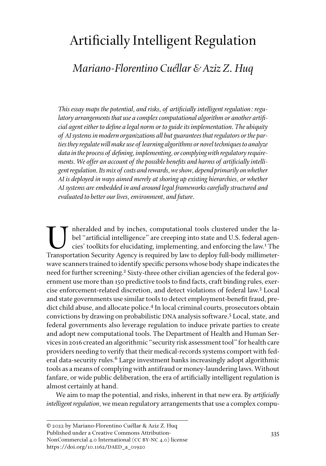## Artificially Intelligent Regulation

## *Mariano-Florentino Cuéllar & Aziz Z. Huq*

*This essay maps the potential, and risks, of artificially intelligent regulation: regulatory arrangements that use a complex computational algorithm or another artificial agent either to define a legal norm or to guide its implementation. The ubiquity of AI systems in modern organizations all but guarantees that regulators or the parties they regulate will make use of learning algorithms or novel techniques to analyze data in the process of defining, implementing, or complying with regulatory requirements. We offer an account of the possible benefits and harms of artificially intelligent regulation. Its mix of costs and rewards, we show, depend primarily on whether AI is deployed in ways aimed merely at shoring up existing hierarchies, or whether AI systems are embedded in and around legal frameworks carefully structured and evaluated to better our lives, environment, and future.* 

nheralded and by inches, computational tools clustered under the label "artificial intelligence" are creeping into state and U.S. federal agencies' toolkits for elucidating, implementing, and enforcing the law.<sup>1</sup> The Transportation Security Agency is required by law to deploy full-body millimeterwave scanners trained to identify specific persons whose body shape indicates the need for further screening.<sup>2</sup> Sixty-three other civilian agencies of the federal government use more than 150 predictive tools to find facts, craft binding rules, exercise enforcement-related discretion, and detect violations of federal law.<sup>3</sup> Local and state governments use similar tools to detect employment-benefit fraud, predict child abuse, and allocate police.4 In local criminal courts, prosecutors obtain convictions by drawing on probabilistic DNA analysis software.<sup>5</sup> Local, state, and federal governments also leverage regulation to induce private parties to create and adopt new computational tools. The Department of Health and Human Services in 2016 created an algorithmic "security risk assessment tool" for health care providers needing to verify that their medical-records systems comport with federal data-security rules.<sup>6</sup> Large investment banks increasingly adopt algorithmic tools as a means of complying with antifraud or money-laundering laws. Without fanfare, or wide public deliberation, the era of artificially intelligent regulation is almost certainly at hand.

We aim to map the potential, and risks, inherent in that new era. By *artificially intelligent regulation*, we mean regulatory arrangements that use a complex compu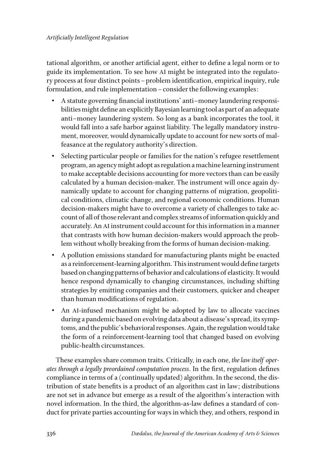tational algorithm, or another artificial agent, either to define a legal norm or to guide its implementation. To see how AI might be integrated into the regulatory process at four distinct points–problem identification, empirical inquiry, rule formulation, and rule implementation–consider the following examples:

- A statute governing financial institutions' anti–money laundering responsibilities might define an explicitly Bayesian learning tool as part of an adequate anti–money laundering system. So long as a bank incorporates the tool, it would fall into a safe harbor against liability. The legally mandatory instrument, moreover, would dynamically update to account for new sorts of malfeasance at the regulatory authority's direction.
- Selecting particular people or families for the nation's refugee resettlement program, an agency might adopt as regulation a machine learning instrument to make acceptable decisions accounting for more vectors than can be easily calculated by a human decision-maker. The instrument will once again dynamically update to account for changing patterns of migration, geopolitical conditions, climatic change, and regional economic conditions. Human decision-makers might have to overcome a variety of challenges to take account of all of those relevant and complex streams of information quickly and accurately. An AI instrument could account for this information in a manner that contrasts with how human decision-makers would approach the problem without wholly breaking from the forms of human decision-making.
- A pollution emissions standard for manufacturing plants might be enacted as a reinforcement-learning algorithm. This instrument would define targets based on changing patterns of behavior and calculations of elasticity. It would hence respond dynamically to changing circumstances, including shifting strategies by emitting companies and their customers, quicker and cheaper than human modifications of regulation.
- An AI-infused mechanism might be adopted by law to allocate vaccines during a pandemic based on evolving data about a disease's spread, its symptoms, and the public's behavioral responses. Again, the regulation would take the form of a reinforcement-learning tool that changed based on evolving public-health circumstances.

These examples share common traits. Critically, in each one, *the law itself operates through a legally preordained computation process*. In the first, regulation defines compliance in terms of a (continually updated) algorithm. In the second, the distribution of state benefits is a product of an algorithm cast in law; distributions are not set in advance but emerge as a result of the algorithm's interaction with novel information. In the third, the algorithm-as-law defines a standard of conduct for private parties accounting for ways in which they, and others, respond in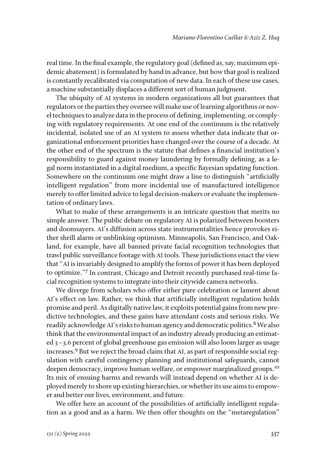real time. In the final example, the regulatory goal (defined as, say, maximum epidemic abatement) is formulated by hand in advance, but how that goal is realized is constantly recalibrated via computation of new data. In each of these use cases, a machine substantially displaces a different sort of human judgment.

The ubiquity of AI systems in modern organizations all but guarantees that regulators or the parties they oversee will make use of learning algorithms or novel techniques to analyze data in the process of defining, implementing, or complying with regulatory requirements. At one end of the continuum is the relatively incidental, isolated use of an AI system to assess whether data indicate that organizational enforcement priorities have changed over the course of a decade. At the other end of the spectrum is the statute that defines a financial institution's responsibility to guard against money laundering by formally defining, as a legal norm instantiated in a digital medium, a specific Bayesian updating function. Somewhere on the continuum one might draw a line to distinguish "artificially intelligent regulation" from more incidental use of manufactured intelligence merely to offer limited advice to legal decision-makers or evaluate the implementation of ordinary laws.

What to make of these arrangements is an intricate question that merits no simple answer. The public debate on regulatory AI is polarized between boosters and doomsayers. AI's diffusion across state instrumentalities hence provokes either shrill alarm or unblinking optimism. Minneapolis, San Francisco, and Oakland, for example, have all banned private facial recognition technologies that trawl public surveillance footage with AI tools. These jurisdictions enact the view that "AI is invariably designed to amplify the forms of power it has been deployed to optimize."7 In contrast, Chicago and Detroit recently purchased real-time facial recognition systems to integrate into their citywide camera networks.

We diverge from scholars who offer either pure celebration or lament about AI's effect on law. Rather, we think that artificially intelligent regulation holds promise and peril. As digitally native law, it exploits potential gains from new predictive technologies, and these gains have attendant costs and serious risks. We readily acknowledge AI's risks to human agency and democratic politics.<sup>8</sup> We also think that the environmental impact of an industry already producing an estimated 3–3.6 percent of global greenhouse gas emission will also loom larger as usage increases.9 But we reject the broad claim that AI, as part of responsible social regulation with careful contingency planning and institutional safeguards, cannot deepen democracy, improve human welfare, or empower marginalized groups.<sup>10</sup> Its mix of ensuing harms and rewards will instead depend on whether AI is deployed merely to shore up existing hierarchies, or whether its use aims to empower and better our lives, environment, and future.

We offer here an account of the possibilities of artificially intelligent regulation as a good and as a harm. We then offer thoughts on the "metaregulation"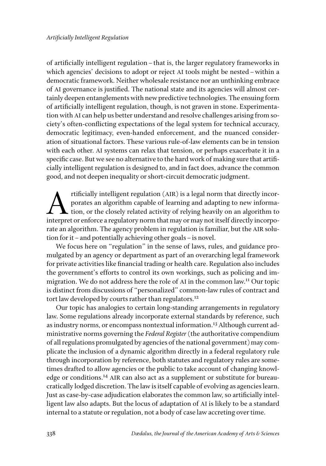of artificially intelligent regulation–that is, the larger regulatory frameworks in which agencies' decisions to adopt or reject AI tools might be nested–within a democratic framework. Neither wholesale resistance nor an unthinking embrace of AI governance is justified. The national state and its agencies will almost certainly deepen entanglements with new predictive technologies. The ensuing form of artificially intelligent regulation, though, is not graven in stone. Experimentation with AI can help us better understand and resolve challenges arising from society's often-conflicting expectations of the legal system for technical accuracy, democratic legitimacy, even-handed enforcement, and the nuanced consideration of situational factors. These various rule-of-law elements can be in tension with each other. AI systems can relax that tension, or perhaps exacerbate it in a specific case. But we see no alternative to the hard work of making sure that artificially intelligent regulation is designed to, and in fact does, advance the common good, and not deepen inequality or short-circuit democratic judgment.

tificially intelligent regulation (AIR) is a legal norm that directly incorporates an algorithm capable of learning and adapting to new information, or the closely related activity of relying heavily on an algorithm to int porates an algorithm capable of learning and adapting to new informa- $\blacktriangle$  tion, or the closely related activity of relying heavily on an algorithm to interpret or enforce a regulatory norm that may or may not itself directly incorporate an algorithm. The agency problem in regulation is familiar, but the AIR solution for it–and potentially achieving other goals–is novel.

We focus here on "regulation" in the sense of laws, rules, and guidance promulgated by an agency or department as part of an overarching legal framework for private activities like financial trading or health care. Regulation also includes the government's efforts to control its own workings, such as policing and immigration. We do not address here the role of AI in the common law.11 Our topic is distinct from discussions of "personalized" common-law rules of contract and tort law developed by courts rather than regulators.<sup>12</sup>

Our topic has analogies to certain long-standing arrangements in regulatory law. Some regulations already incorporate external standards by reference, such as industry norms, or encompass nontextual information.<sup>13</sup> Although current administrative norms governing the *Federal Register* (the authoritative compendium of all regulations promulgated by agencies of the national government) may complicate the inclusion of a dynamic algorithm directly in a federal regulatory rule through incorporation by reference, both statutes and regulatory rules are sometimes drafted to allow agencies or the public to take account of changing knowledge or conditions.14 AIR can also act as a supplement or substitute for bureaucratically lodged discretion. The law is itself capable of evolving as agencies learn. Just as case-by-case adjudication elaborates the common law, so artificially intelligent law also adapts. But the locus of adaptation of AI is likely to be a standard internal to a statute or regulation, not a body of case law accreting over time.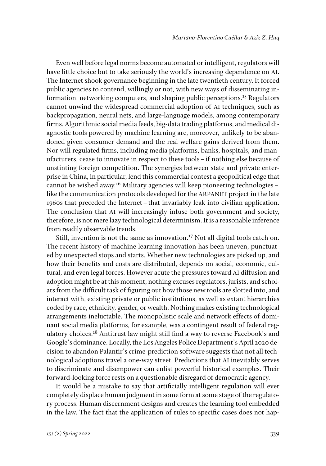Even well before legal norms become automated or intelligent, regulators will have little choice but to take seriously the world's increasing dependence on AI. The Internet shook governance beginning in the late twentieth century. It forced public agencies to contend, willingly or not, with new ways of disseminating information, networking computers, and shaping public perceptions.15 Regulators cannot unwind the widespread commercial adoption of AI techniques, such as backpropagation, neural nets, and large-language models, among contemporary firms. Algorithmic social media feeds, big-data trading platforms, and medical diagnostic tools powered by machine learning are, moreover, unlikely to be abandoned given consumer demand and the real welfare gains derived from them. Nor will regulated firms, including media platforms, banks, hospitals, and manufacturers, cease to innovate in respect to these tools–if nothing else because of unstinting foreign competition. The synergies between state and private enterprise in China, in particular, lend this commercial contest a geopolitical edge that cannot be wished away.16 Military agencies will keep pioneering technologies– like the communication protocols developed for the ARPANET project in the late 1960s that preceded the Internet–that invariably leak into civilian application. The conclusion that AI will increasingly infuse both government and society, therefore, is not mere lazy technological determinism. It is a reasonable inference from readily observable trends.

Still, invention is not the same as innovation.<sup>17</sup> Not all digital tools catch on. The recent history of machine learning innovation has been uneven, punctuated by unexpected stops and starts. Whether new technologies are picked up, and how their benefits and costs are distributed, depends on social, economic, cultural, and even legal forces. However acute the pressures toward AI diffusion and adoption might be at this moment, nothing excuses regulators, jurists, and scholars from the difficult task of figuring out how those new tools are slotted into, and interact with, existing private or public institutions, as well as extant hierarchies coded by race, ethnicity, gender, or wealth. Nothing makes existing technological arrangements ineluctable. The monopolistic scale and network effects of dominant social media platforms, for example, was a contingent result of federal regulatory choices.<sup>18</sup> Antitrust law might still find a way to reverse Facebook's and Google's dominance. Locally, the Los Angeles Police Department's April 2020 decision to abandon Palantir's crime-prediction software suggests that not all technological adoptions travel a one-way street. Predictions that AI inevitably serves to discriminate and disempower can enlist powerful historical examples. Their forward-looking force rests on a questionable disregard of democratic agency.

It would be a mistake to say that artificially intelligent regulation will ever completely displace human judgment in some form at some stage of the regulatory process. Human discernment designs and creates the learning tool embedded in the law. The fact that the application of rules to specific cases does not hap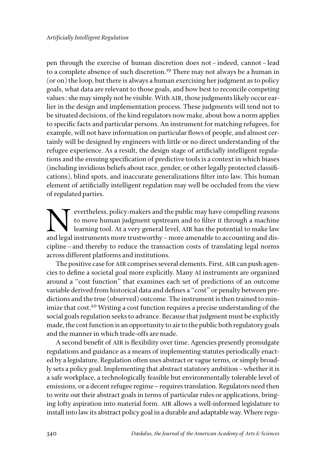pen through the exercise of human discretion does not–indeed, cannot–lead to a complete absence of such discretion.<sup>19</sup> There may not always be a human in (or on) the loop, but there is always a human exercising her judgment as to policy goals, what data are relevant to those goals, and how best to reconcile competing values: she may simply not be visible. With AIR, those judgments likely occur earlier in the design and implementation process. These judgments will tend not to be situated decisions, of the kind regulators now make, about how a norm applies to specific facts and particular persons. An instrument for matching refugees, for example, will not have information on particular flows of people, and almost certainly will be designed by engineers with little or no direct understanding of the refugee experience. As a result, the design stage of artificially intelligent regulations and the ensuing specification of predictive tools is a context in which biases (including invidious beliefs about race, gender, or other legally protected classifications), blind spots, and inaccurate generalizations filter into law. This human element of artificially intelligent regulation may well be occluded from the view of regulated parties.

Expectibless, policy-makers and the public may have compelling reasons<br>to move human judgment upstream and to filter it through a machine<br>learning tool. At a very general level, AIR has the potential to make law<br>and legal to move human judgment upstream and to filter it through a machine learning tool. At a very general level, AIR has the potential to make law and legal instruments more trustworthy–more amenable to accounting and discipline–and thereby to reduce the transaction costs of translating legal norms across different platforms and institutions.

The positive case for AIR comprises several elements. First, AIR can push agencies to define a societal goal more explicitly. Many AI instruments are organized around a "cost function" that examines each set of predictions of an outcome variable derived from historical data and defines a "cost" or penalty between predictions and the true (observed) outcome. The instrument is then trained to minimize that cost.<sup>20</sup> Writing a cost function requires a precise understanding of the social goals regulation seeks to advance. Because that judgment must be explicitly made, the cost function is an opportunity to air to the public both regulatory goals and the manner in which trade-offs are made.

A second benefit of AIR is flexibility over time. Agencies presently promulgate regulations and guidance as a means of implementing statutes periodically enacted by a legislature. Regulation often uses abstract or vague terms, or simply broadly sets a policy goal. Implementing that abstract statutory ambition–whether it is a safe workplace, a technologically feasible but environmentally tolerable level of emissions, or a decent refugee regime–requires translation. Regulators need then to write out their abstract goals in terms of particular rules or applications, bringing lofty aspiration into material form. AIR allows a well-informed legislature to install into law its abstract policy goal in a durable and adaptable way. Where regu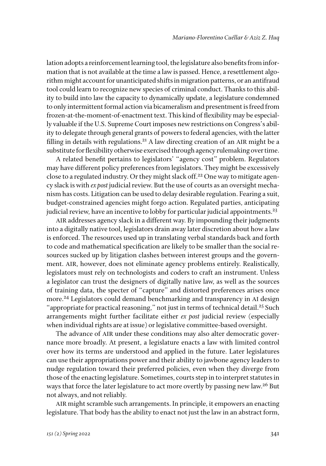lation adopts a reinforcement learning tool, the legislature also benefits from information that is not available at the time a law is passed. Hence, a resettlement algorithm might account for unanticipated shifts in migration patterns, or an antifraud tool could learn to recognize new species of criminal conduct. Thanks to this ability to build into law the capacity to dynamically update, a legislature condemned to only intermittent formal action via bicameralism and presentment is freed from frozen-at-the-moment-of-enactment text. This kind of flexibility may be especially valuable if the U.S. Supreme Court imposes new restrictions on Congress's ability to delegate through general grants of powers to federal agencies, with the latter filling in details with regulations.<sup>21</sup> A law directing creation of an AIR might be a substitute for flexibility otherwise exercised through agency rulemaking over time.

A related benefit pertains to legislators' "agency cost" problem. Regulators may have different policy preferences from legislators. They might be excessively close to a regulated industry. Or they might slack off.<sup>22</sup> One way to mitigate agency slack is with *ex post* judicial review. But the use of courts as an oversight mechanism has costs. Litigation can be used to delay desirable regulation. Fearing a suit, budget-constrained agencies might forgo action. Regulated parties, anticipating judicial review, have an incentive to lobby for particular judicial appointments.<sup>23</sup>

AIR addresses agency slack in a different way. By impounding their judgments into a digitally native tool, legislators drain away later discretion about how a law is enforced. The resources used up in translating verbal standards back and forth to code and mathematical specification are likely to be smaller than the social resources sucked up by litigation clashes between interest groups and the government. AIR, however, does not eliminate agency problems entirely. Realistically, legislators must rely on technologists and coders to craft an instrument. Unless a legislator can trust the designers of digitally native law, as well as the sources of training data, the specter of "capture" and distorted preferences arises once more.<sup>24</sup> Legislators could demand benchmarking and transparency in AI design "appropriate for practical reasoning," not just in terms of technical detail.<sup>25</sup> Such arrangements might further facilitate either *ex post* judicial review (especially when individual rights are at issue) or legislative committee-based oversight.

The advance of AIR under these conditions may also alter democratic governance more broadly. At present, a legislature enacts a law with limited control over how its terms are understood and applied in the future. Later legislatures can use their appropriations power and their ability to jawbone agency leaders to nudge regulation toward their preferred policies, even when they diverge from those of the enacting legislature. Sometimes, courts step in to interpret statutes in ways that force the later legislature to act more overtly by passing new law.<sup>26</sup> But not always, and not reliably.

AIR might scramble such arrangements. In principle, it empowers an enacting legislature. That body has the ability to enact not just the law in an abstract form,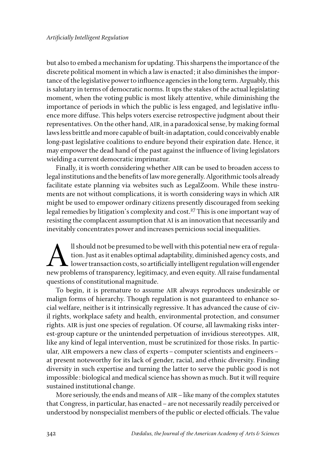but also to embed a mechanism for updating. This sharpens the importance of the discrete political moment in which a law is enacted; it also diminishes the importance of the legislative power to influence agencies in the long term. Arguably, this is salutary in terms of democratic norms. It ups the stakes of the actual legislating moment, when the voting public is most likely attentive, while diminishing the importance of periods in which the public is less engaged, and legislative influence more diffuse. This helps voters exercise retrospective judgment about their representatives. On the other hand, AIR, in a paradoxical sense, by making formal laws less brittle and more capable of built-in adaptation, could conceivably enable long-past legislative coalitions to endure beyond their expiration date. Hence, it may empower the dead hand of the past against the influence of living legislators wielding a current democratic imprimatur.

Finally, it is worth considering whether AIR can be used to broaden access to legal institutions and the benefits of law more generally. Algorithmic tools already facilitate estate planning via websites such as LegalZoom. While these instruments are not without complications, it is worth considering ways in which AIR might be used to empower ordinary citizens presently discouraged from seeking legal remedies by litigation's complexity and cost.<sup>27</sup> This is one important way of resisting the complacent assumption that AI is an innovation that necessarily and inevitably concentrates power and increases pernicious social inequalities.

Il should not be presumed to be well with this potential new era of regulation. Just as it enables optimal adaptability, diminished agency costs, and lower transaction costs, so artificially intelligent regulation will eng tion. Just as it enables optimal adaptability, diminished agency costs, and  $\blacktriangle$  lower transaction costs, so artificially intelligent regulation will engender new problems of transparency, legitimacy, and even equity. All raise fundamental questions of constitutional magnitude.

To begin, it is premature to assume AIR always reproduces undesirable or malign forms of hierarchy. Though regulation is not guaranteed to enhance social welfare, neither is it intrinsically regressive. It has advanced the cause of civil rights, workplace safety and health, environmental protection, and consumer rights. AIR is just one species of regulation. Of course, all lawmaking risks interest-group capture or the unintended perpetuation of invidious stereotypes. AIR, like any kind of legal intervention, must be scrutinized for those risks. In particular, AIR empowers a new class of experts–computer scientists and engineers– at present noteworthy for its lack of gender, racial, and ethnic diversity. Finding diversity in such expertise and turning the latter to serve the public good is not impossible: biological and medical science has shown as much. But it will require sustained institutional change.

More seriously, the ends and means of AIR–like many of the complex statutes that Congress, in particular, has enacted–are not necessarily readily perceived or understood by nonspecialist members of the public or elected officials. The value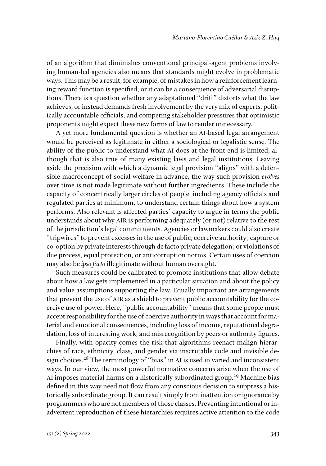of an algorithm that diminishes conventional principal-agent problems involving human-led agencies also means that standards might evolve in problematic ways. This may be a result, for example, of mistakes in how a reinforcement learning reward function is specified, or it can be a consequence of adversarial disruptions. There is a question whether any adaptational "drift" distorts what the law achieves, or instead demands fresh involvement by the very mix of experts, politically accountable officials, and competing stakeholder pressures that optimistic proponents might expect these new forms of law to render unnecessary.

A yet more fundamental question is whether an AI-based legal arrangement would be perceived as legitimate in either a sociological or legalistic sense. The ability of the public to understand what AI does at the front end is limited, although that is also true of many existing laws and legal institutions. Leaving aside the precision with which a dynamic legal provision "aligns" with a defensible macroconcept of social welfare in advance, the way such provision *evolves* over time is not made legitimate without further ingredients. These include the capacity of concentrically larger circles of people, including agency officials and regulated parties at minimum, to understand certain things about how a system performs. Also relevant is affected parties' capacity to argue in terms the public understands about why AIR is performing adequately (or not) relative to the rest of the jurisdiction's legal commitments. Agencies or lawmakers could also create "tripwires" to prevent excesses in the use of public, coercive authority; capture or co-option by private interests through de facto private delegation; or violations of due process, equal protection, or anticorruption norms. Certain uses of coercion may also be *ipso facto* illegitimate without human oversight.

Such measures could be calibrated to promote institutions that allow debate about how a law gets implemented in a particular situation and about the policy and value assumptions supporting the law. Equally important are arrangements that prevent the use of AIR as a shield to prevent public accountability for the coercive use of power. Here, "public accountability" means that some people must accept responsibility for the use of coercive authority in ways that account for material and emotional consequences, including loss of income, reputational degradation, loss of interesting work, and misrecognition by peers or authority figures.

Finally, with opacity comes the risk that algorithms reenact malign hierarchies of race, ethnicity, class, and gender via inscrutable code and invisible design choices.<sup>28</sup> The terminology of "bias" in AI is used in varied and inconsistent ways. In our view, the most powerful normative concerns arise when the use of AI imposes material harms on a historically subordinated group.<sup>29</sup> Machine bias defined in this way need not flow from any conscious decision to suppress a historically subordinate group. It can result simply from inattention or ignorance by programmers who are not members of those classes. Preventing intentional or inadvertent reproduction of these hierarchies requires active attention to the code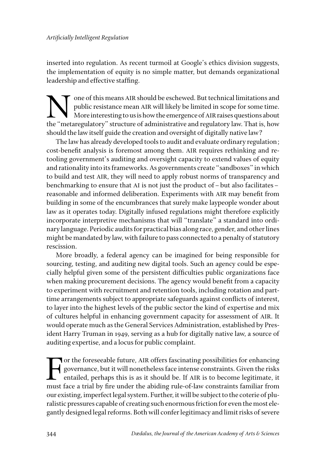inserted into regulation. As recent turmoil at Google's ethics division suggests, the implementation of equity is no simple matter, but demands organizational leadership and effective staffing.

One of this means AIR should be eschewed. But technical limitations and public resistance mean AIR will likely be limited in scope for some time.<br>More interesting to us is how the emergence of AIR raises questions about th public resistance mean AIR will likely be limited in scope for some time. More interesting to us is how the emergence of AIR raises questions about the "metaregulatory" structure of administrative and regulatory law. That is, how should the law itself guide the creation and oversight of digitally native law?

The law has already developed tools to audit and evaluate ordinary regulation; cost-benefit analysis is foremost among them. AIR requires rethinking and retooling government's auditing and oversight capacity to extend values of equity and rationality into its frameworks. As governments create "sandboxes" in which to build and test AIR, they will need to apply robust norms of transparency and benchmarking to ensure that AI is not just the product of–but also facilitates– reasonable and informed deliberation. Experiments with AIR may benefit from building in some of the encumbrances that surely make laypeople wonder about law as it operates today. Digitally infused regulations might therefore explicitly incorporate interpretive mechanisms that will "translate" a standard into ordinary language. Periodic audits for practical bias along race, gender, and other lines might be mandated by law, with failure to pass connected to a penalty of statutory rescission.

More broadly, a federal agency can be imagined for being responsible for sourcing, testing, and auditing new digital tools. Such an agency could be especially helpful given some of the persistent difficulties public organizations face when making procurement decisions. The agency would benefit from a capacity to experiment with recruitment and retention tools, including rotation and parttime arrangements subject to appropriate safeguards against conflicts of interest, to layer into the highest levels of the public sector the kind of expertise and mix of cultures helpful in enhancing government capacity for assessment of AIR. It would operate much as the General Services Administration, established by President Harry Truman in 1949, serving as a hub for digitally native law, a source of auditing expertise, and a locus for public complaint.

For the foreseeable future, AIR offers fascinating possibilities for enhancing<br>governance, but it will nonetheless face intense constraints. Given the risks<br>entailed, perhaps this is as it should be. If AIR is to become le governance, but it will nonetheless face intense constraints. Given the risks entailed, perhaps this is as it should be. If AIR is to become legitimate, it must face a trial by fire under the abiding rule-of-law constraints familiar from our existing, imperfect legal system. Further, it will be subject to the coterie of pluralistic pressures capable of creating such enormous friction for even the most elegantly designed legal reforms. Both will confer legitimacy and limit risks of severe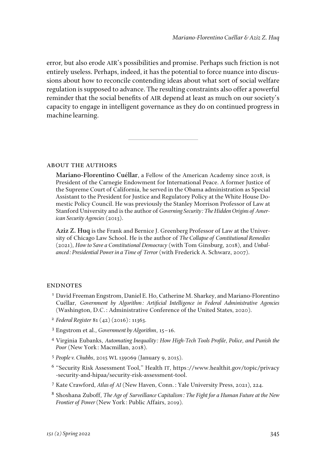error, but also erode AIR's possibilities and promise. Perhaps such friction is not entirely useless. Perhaps, indeed, it has the potential to force nuance into discussions about how to reconcile contending ideas about what sort of social welfare regulation is supposed to advance. The resulting constraints also offer a powerful reminder that the social benefits of AIR depend at least as much on our society's capacity to engage in intelligent governance as they do on continued progress in machine learning.

about the authors

**Mariano-Florentino Cuéllar**, a Fellow of the American Academy since 2018, is President of the Carnegie Endowment for International Peace. A former Justice of the Supreme Court of California, he served in the Obama administration as Special Assistant to the President for Justice and Regulatory Policy at the White House Domestic Policy Council. He was previously the Stanley Morrison Professor of Law at Stanford University and is the author of *Governing Security: The Hidden Origins of American Security Agencies* (2013).

**Aziz Z. Huq** is the Frank and Bernice J. Greenberg Professor of Law at the University of Chicago Law School. He is the author of *The Collapse of Constitutional Remedies* (2021), *How to Save a Constitutional Democracy* (with Tom Ginsburg, 2018), and *Unbalanced: Presidential Power in a Time of Terror* (with Frederick A. Schwarz, 2007).

## **ENDNOTES**

- <sup>1</sup> David Freeman Engstrom, Daniel E. Ho, Catherine M. Sharkey, and Mariano-Florentino Cuéllar, *Government by Algorithm: Artificial Intelligence in Federal Administrative Agencies* (Washington, D.C.: Administrative Conference of the United States, 2020).
- <sup>2</sup> *Federal Register* 81 (42) (2016): 11363.
- <sup>3</sup> Engstrom et al., *Government by Algorithm*, 15–16.
- <sup>4</sup> Virginia Eubanks, *Automating Inequality: How High-Tech Tools Profile, Police, and Punish the Poor* (New York: Macmillan, 2018).
- <sup>5</sup> *People v. Chubbs*, 2015 WL 139069 (January 9, 2015).
- <sup>6</sup> "Security Risk Assessment Tool," Health IT, https://www.healthit.gov/topic/privacy -security-and-hipaa/security-risk-assessment-tool.
- <sup>7</sup> Kate Crawford, *Atlas of AI* (New Haven, Conn.: Yale University Press, 2021), 224.
- <sup>8</sup> Shoshana Zuboff, *The Age of Surveillance Capitalism: The Fight for a Human Future at the New Frontier of Power* (New York: Public Affairs, 2019)*.*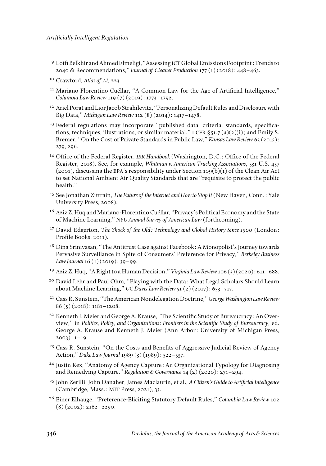- <sup>9</sup> Lotfi Belkhir and Ahmed Elmeligi, "Assessing ICT Global Emissions Footprint: Trends to 2040 & Recommendations," *Journal of Cleaner Production* 177 (1) (2018): 448–463.
- <sup>10</sup> Crawford, *Atlas of AI*, 223.
- <sup>11</sup> Mariano-Florentino Cuéllar, "A Common Law for the Age of Artificial Intelligence," *Columbia Law Review* 119 (7) (2019): 1773–1792.
- <sup>12</sup> Ariel Porat and Lior Jacob Strahilevitz, "Personalizing Default Rules and Disclosure with Big Data," *Michigan Law Review* 112 (8) (2014): 1417–1478.
- <sup>13</sup> Federal regulations may incorporate "published data, criteria, standards, specifications, techniques, illustrations, or similar material." 1 CFR  $\S$ 51.7 (a)(2)(i); and Emily S. Bremer, "On the Cost of Private Standards in Public Law," *Kansas Law Review* 63 (2015): 279, 296.
- <sup>14</sup> Office of the Federal Register, *IBR Handbook* (Washington, D.C.: Office of the Federal Register, 2018). See, for example, *Whitman v. American Trucking Associations*, 531 U.S. 457  $(2001)$ , discussing the EPA's responsibility under Section 109(b)(1) of the Clean Air Act to set National Ambient Air Quality Standards that are "requisite to protect the public health."
- <sup>15</sup> See Jonathan Zittrain, *The Future of the Internet and How to Stop It* (New Haven, Conn.: Yale University Press, 2008).
- <sup>16</sup> Aziz Z. Huq and Mariano-Florentino Cuéllar, "Privacy's Political Economy and the State of Machine Learning," *NYU Annual Survey of American Law* (forthcoming).
- <sup>17</sup> David Edgerton, *The Shock of the Old: Technology and Global History Since 1900* (London: Profile Books, 2011).
- <sup>18</sup> Dina Srinivasan, "The Antitrust Case against Facebook: A Monopolist's Journey towards Pervasive Surveillance in Spite of Consumers' Preference for Privacy," *Berkeley Business Law Journal* 16 (1)(2019): 39–99.
- <sup>19</sup> Aziz Z. Huq, "A Right to a Human Decision," *Virginia Law Review* 106 (3) (2020): 611–688.
- <sup>20</sup> David Lehr and Paul Ohm, "Playing with the Data: What Legal Scholars Should Learn about Machine Learning," *UC Davis Law Review* 51 (2) (2017): 653–717.
- <sup>21</sup> Cass R. Sunstein, "The American Nondelegation Doctrine," *George Washington Law Review*  $86(5)(2018): 1181-1208.$
- <sup>22</sup> Kenneth J. Meier and George A. Krause, "The Scientific Study of Bureaucracy: An Overview," in *Politics, Policy, and Organizations: Frontiers in the Scientific Study of Bureaucracy*, ed. George A. Krause and Kenneth J. Meier (Ann Arbor: University of Michigan Press,  $2003$ :  $1-19$ .
- <sup>23</sup> Cass R. Sunstein, "On the Costs and Benefits of Aggressive Judicial Review of Agency Action," *Duke Law Journal* 1989 (3) (1989): 522–537.
- <sup>24</sup> Justin Rex, "Anatomy of Agency Capture: An Organizational Typology for Diagnosing and Remedying Capture," *Regulation & Governance* 14 (2) (2020): 271–294.
- <sup>25</sup> John Zerilli, John Danaher, James Maclaurin, et al., *A Citizen's Guide to Artificial Intelligence* (Cambridge, Mass.: MIT Press, 2021), 33.
- <sup>26</sup> Einer Elhauge, "Preference-Eliciting Statutory Default Rules," *Columbia Law Review* 102  $(8)(2002): 2162 - 2290.$